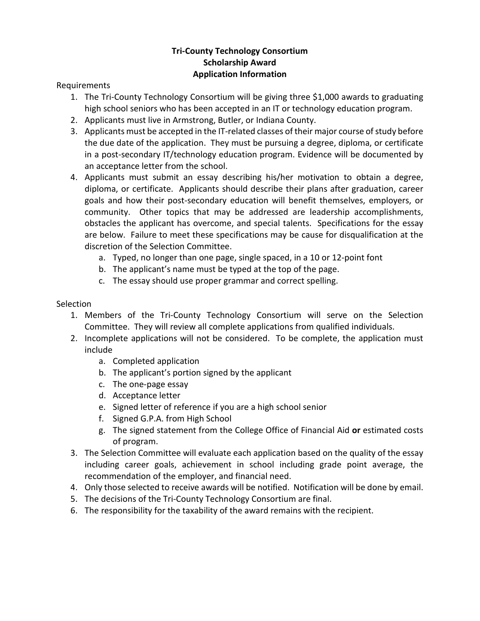### **Tri-County Technology Consortium Scholarship Award Application Information**

Requirements

- 1. The Tri-County Technology Consortium will be giving three \$1,000 awards to graduating high school seniors who has been accepted in an IT or technology education program.
- 2. Applicants must live in Armstrong, Butler, or Indiana County.
- 3. Applicants must be accepted in the IT-related classes of their major course of study before the due date of the application. They must be pursuing a degree, diploma, or certificate in a post-secondary IT/technology education program. Evidence will be documented by an acceptance letter from the school.
- 4. Applicants must submit an essay describing his/her motivation to obtain a degree, diploma, or certificate. Applicants should describe their plans after graduation, career goals and how their post-secondary education will benefit themselves, employers, or community. Other topics that may be addressed are leadership accomplishments, obstacles the applicant has overcome, and special talents. Specifications for the essay are below. Failure to meet these specifications may be cause for disqualification at the discretion of the Selection Committee.
	- a. Typed, no longer than one page, single spaced, in a 10 or 12-point font
	- b. The applicant's name must be typed at the top of the page.
	- c. The essay should use proper grammar and correct spelling.

#### **Selection**

- 1. Members of the Tri-County Technology Consortium will serve on the Selection Committee. They will review all complete applications from qualified individuals.
- 2. Incomplete applications will not be considered. To be complete, the application must include
	- a. Completed application
	- b. The applicant's portion signed by the applicant
	- c. The one-page essay
	- d. Acceptance letter
	- e. Signed letter of reference if you are a high school senior
	- f. Signed G.P.A. from High School
	- g. The signed statement from the College Office of Financial Aid **or** estimated costs of program.
- 3. The Selection Committee will evaluate each application based on the quality of the essay including career goals, achievement in school including grade point average, the recommendation of the employer, and financial need.
- 4. Only those selected to receive awards will be notified. Notification will be done by email.
- 5. The decisions of the Tri-County Technology Consortium are final.
- 6. The responsibility for the taxability of the award remains with the recipient.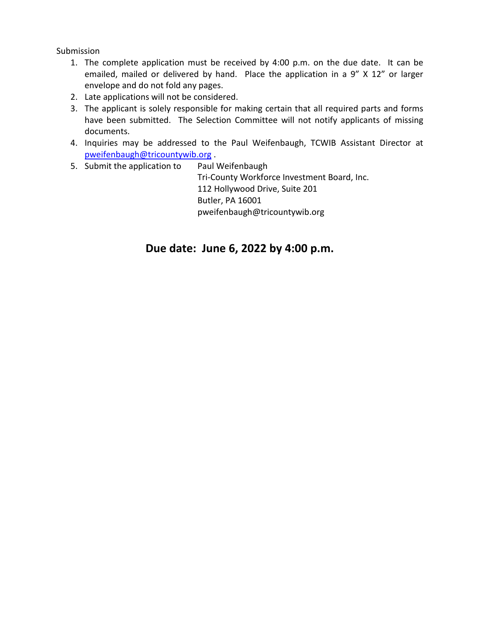Submission

- 1. The complete application must be received by 4:00 p.m. on the due date. It can be emailed, mailed or delivered by hand. Place the application in a 9" X 12" or larger envelope and do not fold any pages.
- 2. Late applications will not be considered.
- 3. The applicant is solely responsible for making certain that all required parts and forms have been submitted. The Selection Committee will not notify applicants of missing documents.
- 4. Inquiries may be addressed to the Paul Weifenbaugh, TCWIB Assistant Director at [pweifenbaugh@tricountywib.org](mailto:pweifenbaugh@tricountywib.org) .
- 5. Submit the application to Paul Weifenbaugh Tri-County Workforce Investment Board, Inc. 112 Hollywood Drive, Suite 201 Butler, PA 16001 pweifenbaugh@tricountywib.org

## **Due date: June 6, 2022 by 4:00 p.m.**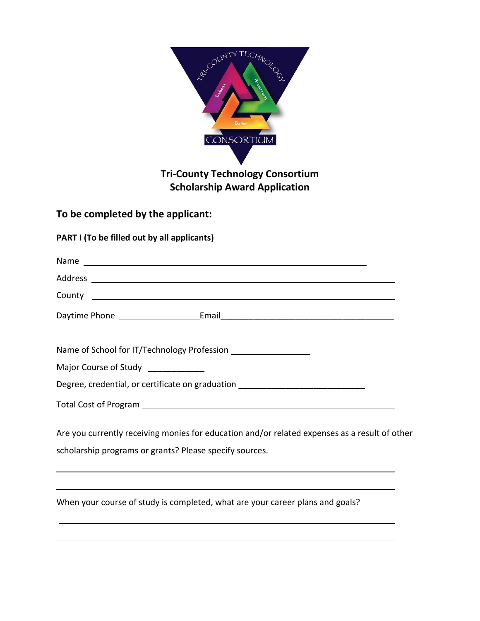

# **To be completed by the applicant:**

### **PART I (To be filled out by all applicants)**

l

| County <u>example</u>                                                                                                                                                                     |
|-------------------------------------------------------------------------------------------------------------------------------------------------------------------------------------------|
| Daytime Phone <b>Email</b> Email <b>Email Email Email Email Email Email Email Email Email Email Email Email Email Email Email Email Email Email Email Email Email Email Email Email E</b> |
|                                                                                                                                                                                           |
| Major Course of Study _____________                                                                                                                                                       |
| Degree, credential, or certificate on graduation _______________________________                                                                                                          |
|                                                                                                                                                                                           |
| Are you currently receiving monies for education and/or related expenses as a result of other                                                                                             |
| scholarship programs or grants? Please specify sources.                                                                                                                                   |
| ,我们也不会有什么?""我们的人,我们也不会有什么?""我们的人,我们也不会有什么?""我们的人,我们也不会有什么?""我们的人,我们也不会有什么?""我们的人                                                                                                          |
| When your course of study is completed, what are your career plans and goals?                                                                                                             |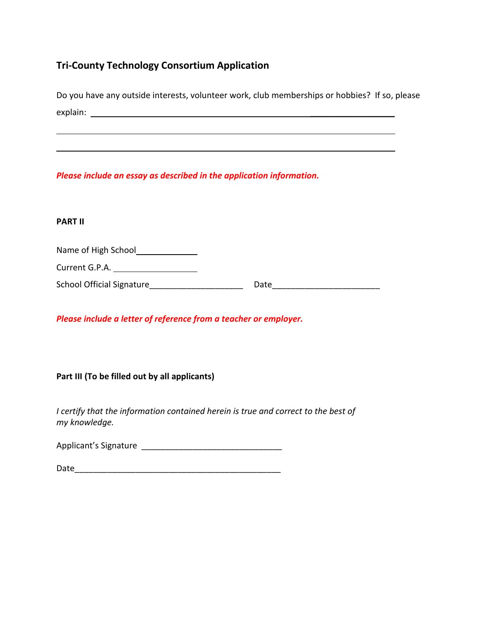### **Tri-County Technology Consortium Application**

Do you have any outside interests, volunteer work, club memberships or hobbies? If so, please explain: \_\_\_\_\_\_\_\_\_\_\_\_\_\_\_\_\_\_

*Please include an essay as described in the application information.*

#### **PART II**

Name of High School<br>
<u>Name</u>

Current G.P.A.

School Official Signature **Example 2018** Date

*Please include a letter of reference from a teacher or employer.*

**Part III (To be filled out by all applicants)**

*I certify that the information contained herein is true and correct to the best of my knowledge.*

Applicant's Signature \_\_\_\_\_\_\_\_\_\_\_\_\_\_\_\_\_\_\_\_\_\_\_\_\_\_\_\_\_\_

Date\_\_\_\_\_\_\_\_\_\_\_\_\_\_\_\_\_\_\_\_\_\_\_\_\_\_\_\_\_\_\_\_\_\_\_\_\_\_\_\_\_\_\_\_